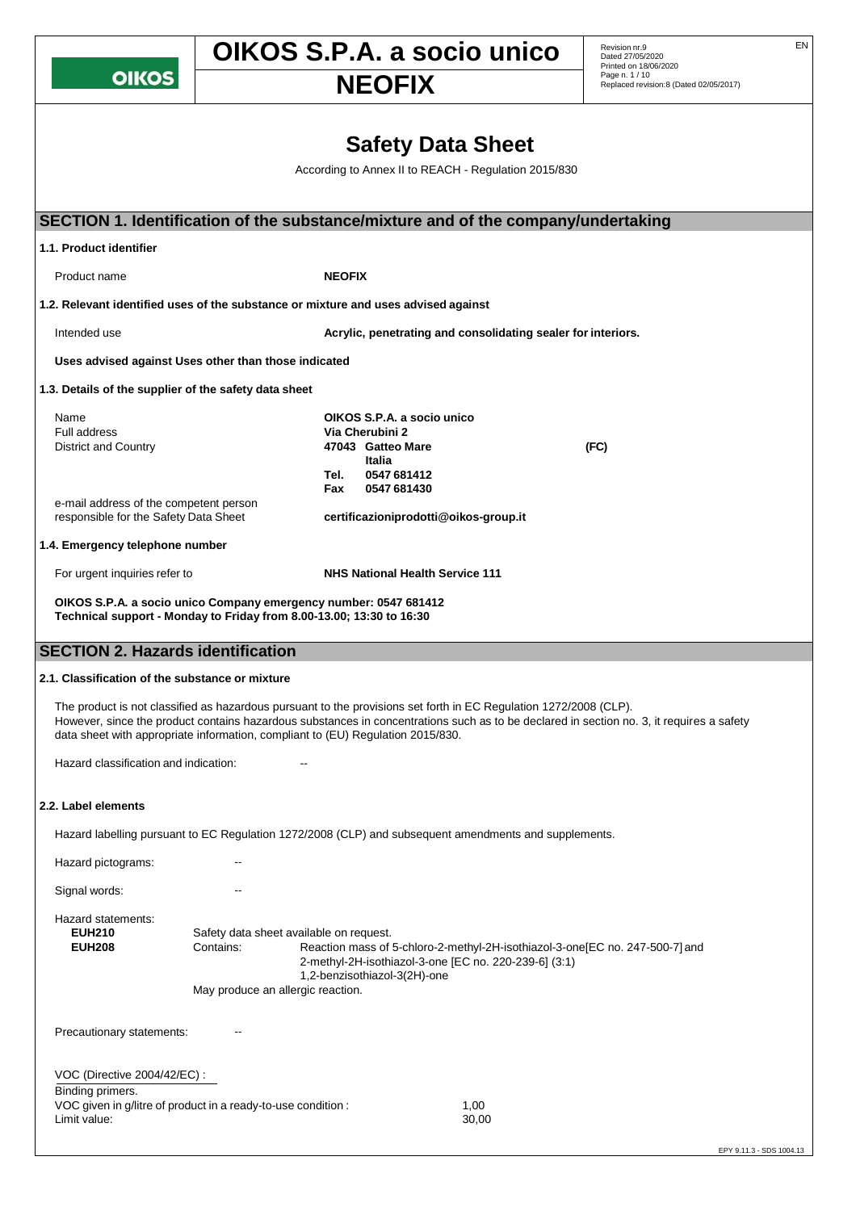**OIKOS** 

**1.1. Product identifier**

## **OIKOS S.P.A. a socio unico** Revision nr.9

**Dated 27/05/2020**<br>
Printed on 18/06/2020<br>
Replaced revision:8 (Dated 02/05/2017)

|                       | <b>Safety Data Sheet</b>                                                          |
|-----------------------|-----------------------------------------------------------------------------------|
|                       | According to Annex II to REACH - Regulation 2015/830                              |
|                       |                                                                                   |
|                       | SECTION 1. Identification of the substance/mixture and of the company/undertaking |
| 11 Draduat idantifiar |                                                                                   |

| Product name                                                                                                                                                                                                                                                                                     |                                                                                           | <b>NEOFIX</b>                                                                                                             |                                                       |                                                                                                                                          |                          |
|--------------------------------------------------------------------------------------------------------------------------------------------------------------------------------------------------------------------------------------------------------------------------------------------------|-------------------------------------------------------------------------------------------|---------------------------------------------------------------------------------------------------------------------------|-------------------------------------------------------|------------------------------------------------------------------------------------------------------------------------------------------|--------------------------|
| 1.2. Relevant identified uses of the substance or mixture and uses advised against                                                                                                                                                                                                               |                                                                                           |                                                                                                                           |                                                       |                                                                                                                                          |                          |
| Intended use                                                                                                                                                                                                                                                                                     |                                                                                           |                                                                                                                           |                                                       | Acrylic, penetrating and consolidating sealer for interiors.                                                                             |                          |
| Uses advised against Uses other than those indicated                                                                                                                                                                                                                                             |                                                                                           |                                                                                                                           |                                                       |                                                                                                                                          |                          |
| 1.3. Details of the supplier of the safety data sheet                                                                                                                                                                                                                                            |                                                                                           |                                                                                                                           |                                                       |                                                                                                                                          |                          |
| Name<br><b>Full address</b><br><b>District and Country</b><br>e-mail address of the competent person<br>responsible for the Safety Data Sheet                                                                                                                                                    |                                                                                           | OIKOS S.P.A. a socio unico<br>Via Cherubini 2<br>47043 Gatteo Mare<br>Italia<br>0547 681412<br>Tel.<br>0547 681430<br>Fax | certificazioniprodotti@oikos-group.it                 | (FC)                                                                                                                                     |                          |
| 1.4. Emergency telephone number                                                                                                                                                                                                                                                                  |                                                                                           |                                                                                                                           |                                                       |                                                                                                                                          |                          |
| For urgent inquiries refer to<br>OIKOS S.P.A. a socio unico Company emergency number: 0547 681412<br>Technical support - Monday to Friday from 8.00-13.00; 13:30 to 16:30                                                                                                                        |                                                                                           |                                                                                                                           | <b>NHS National Health Service 111</b>                |                                                                                                                                          |                          |
| <b>SECTION 2. Hazards identification</b>                                                                                                                                                                                                                                                         |                                                                                           |                                                                                                                           |                                                       |                                                                                                                                          |                          |
| 2.1. Classification of the substance or mixture<br>The product is not classified as hazardous pursuant to the provisions set forth in EC Regulation 1272/2008 (CLP).<br>data sheet with appropriate information, compliant to (EU) Regulation 2015/830.<br>Hazard classification and indication: |                                                                                           |                                                                                                                           |                                                       | However, since the product contains hazardous substances in concentrations such as to be declared in section no. 3, it requires a safety |                          |
| 2.2. Label elements                                                                                                                                                                                                                                                                              |                                                                                           |                                                                                                                           |                                                       |                                                                                                                                          |                          |
| Hazard labelling pursuant to EC Regulation 1272/2008 (CLP) and subsequent amendments and supplements.                                                                                                                                                                                            |                                                                                           |                                                                                                                           |                                                       |                                                                                                                                          |                          |
| Hazard pictograms:                                                                                                                                                                                                                                                                               |                                                                                           |                                                                                                                           |                                                       |                                                                                                                                          |                          |
| Signal words:<br>Hazard statements:<br><b>EUH210</b><br><b>EUH208</b>                                                                                                                                                                                                                            | Safety data sheet available on request.<br>Contains:<br>May produce an allergic reaction. | 1,2-benzisothiazol-3(2H)-one                                                                                              | 2-methyl-2H-isothiazol-3-one [EC no. 220-239-6] (3:1) | Reaction mass of 5-chloro-2-methyl-2H-isothiazol-3-one[EC no. 247-500-7] and                                                             |                          |
| Precautionary statements:                                                                                                                                                                                                                                                                        |                                                                                           |                                                                                                                           |                                                       |                                                                                                                                          |                          |
| VOC (Directive 2004/42/EC) :                                                                                                                                                                                                                                                                     |                                                                                           |                                                                                                                           |                                                       |                                                                                                                                          |                          |
| Binding primers.<br>VOC given in g/litre of product in a ready-to-use condition :<br>Limit value:                                                                                                                                                                                                |                                                                                           |                                                                                                                           | 1,00<br>30,00                                         |                                                                                                                                          | EPY 9.11.3 - SDS 1004.13 |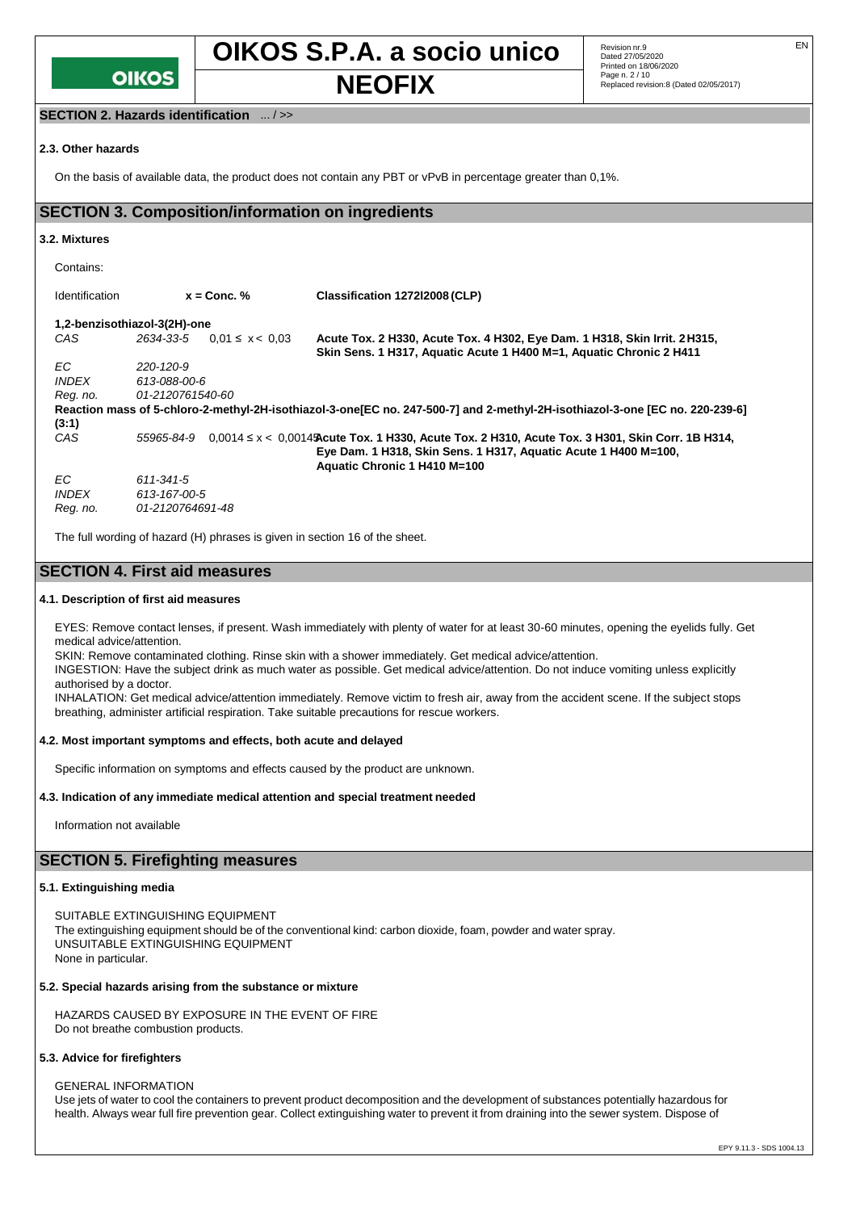

#### **SECTION 2. Hazards identification** ... / >>

#### **2.3. Other hazards**

On the basis of available data, the product does not contain any PBT or vPvB in percentage greater than 0,1%.

#### **SECTION 3. Composition/information on ingredients**

#### **3.2. Mixtures**

| Contains:             |                              |                     |                                                                                                                                                                                                         |
|-----------------------|------------------------------|---------------------|---------------------------------------------------------------------------------------------------------------------------------------------------------------------------------------------------------|
| <b>Identification</b> | $x =$ Conc. %                |                     | Classification 127212008 (CLP)                                                                                                                                                                          |
|                       | 1,2-benzisothiazol-3(2H)-one |                     |                                                                                                                                                                                                         |
| CAS                   | 2634-33-5                    | $0.01 \le x < 0.03$ | Acute Tox. 2 H330, Acute Tox. 4 H302, Eye Dam. 1 H318, Skin Irrit. 2 H315,<br>Skin Sens. 1 H317, Aquatic Acute 1 H400 M=1, Aquatic Chronic 2 H411                                                       |
| EC.                   | 220-120-9                    |                     |                                                                                                                                                                                                         |
| <b>INDEX</b>          | 613-088-00-6                 |                     |                                                                                                                                                                                                         |
| Reg. no.              | 01-2120761540-60             |                     |                                                                                                                                                                                                         |
|                       |                              |                     | Reaction mass of 5-chloro-2-methyl-2H-isothiazol-3-one [EC no. 247-500-7] and 2-methyl-2H-isothiazol-3-one [EC no. 220-239-6]                                                                           |
| (3:1)                 |                              |                     |                                                                                                                                                                                                         |
| CAS                   | 55965-84-9                   |                     | $0.0014 \le x < 0.0014$ Acute Tox. 1 H330, Acute Tox. 2 H310, Acute Tox. 3 H301, Skin Corr. 1B H314,<br>Eye Dam. 1 H318, Skin Sens. 1 H317, Aquatic Acute 1 H400 M=100,<br>Aquatic Chronic 1 H410 M=100 |
| EC.                   | 611-341-5                    |                     |                                                                                                                                                                                                         |
| <b>INDEX</b>          | 613-167-00-5                 |                     |                                                                                                                                                                                                         |
| Reg. no.              | 01-2120764691-48             |                     |                                                                                                                                                                                                         |

The full wording of hazard (H) phrases is given in section 16 of the sheet.

#### **SECTION 4. First aid measures**

#### **4.1. Description of first aid measures**

EYES: Remove contact lenses, if present. Wash immediately with plenty of water for at least 30-60 minutes, opening the eyelids fully. Get medical advice/attention.

SKIN: Remove contaminated clothing. Rinse skin with a shower immediately. Get medical advice/attention.

INGESTION: Have the subject drink as much water as possible. Get medical advice/attention. Do not induce vomiting unless explicitly authorised by a doctor.

INHALATION: Get medical advice/attention immediately. Remove victim to fresh air, away from the accident scene. If the subject stops breathing, administer artificial respiration. Take suitable precautions for rescue workers.

#### **4.2. Most important symptoms and effects, both acute and delayed**

Specific information on symptoms and effects caused by the product are unknown.

#### **4.3. Indication of any immediate medical attention and special treatment needed**

Information not available

#### **SECTION 5. Firefighting measures**

#### **5.1. Extinguishing media**

SUITABLE EXTINGUISHING EQUIPMENT The extinguishing equipment should be of the conventional kind: carbon dioxide, foam, powder and water spray. UNSUITABLE EXTINGUISHING EQUIPMENT None in particular.

#### **5.2. Special hazards arising from the substance or mixture**

HAZARDS CAUSED BY EXPOSURE IN THE EVENT OF FIRE Do not breathe combustion products.

#### **5.3. Advice for firefighters**

GENERAL INFORMATION

Use jets of water to cool the containers to prevent product decomposition and the development of substances potentially hazardous for health. Always wear full fire prevention gear. Collect extinguishing water to prevent it from draining into the sewer system. Dispose of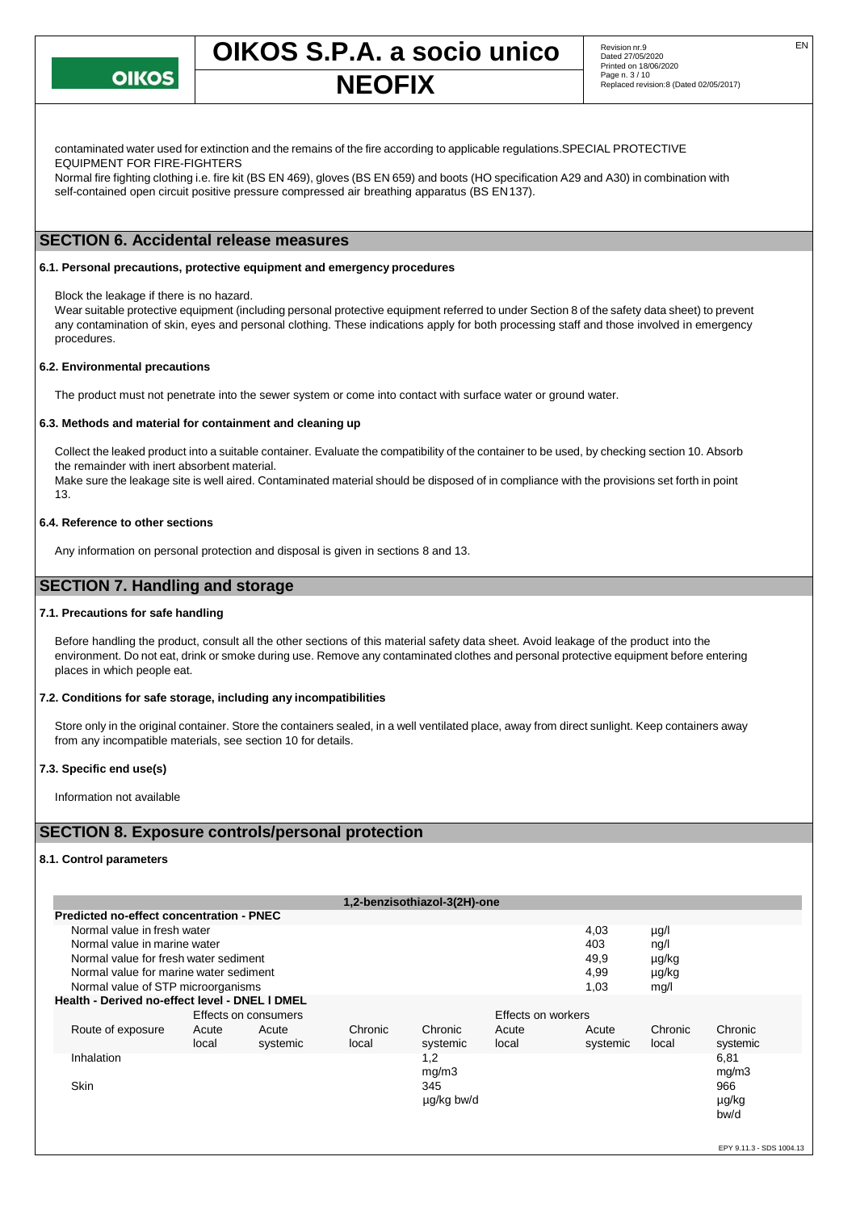

contaminated water used for extinction and the remains of the fire according to applicable regulations.SPECIAL PROTECTIVE EQUIPMENT FOR FIRE-FIGHTERS

Normal fire fighting clothing i.e. fire kit (BS EN 469), gloves (BS EN 659) and boots (HO specification A29 and A30) in combination with self-contained open circuit positive pressure compressed air breathing apparatus (BS EN137).

#### **SECTION 6. Accidental release measures**

#### **6.1. Personal precautions, protective equipment and emergency procedures**

Block the leakage if there is no hazard.

Wear suitable protective equipment (including personal protective equipment referred to under Section 8 of the safety data sheet) to prevent any contamination of skin, eyes and personal clothing. These indications apply for both processing staff and those involved in emergency procedures.

#### **6.2. Environmental precautions**

The product must not penetrate into the sewer system or come into contact with surface water or ground water.

#### **6.3. Methods and material for containment and cleaning up**

Collect the leaked product into a suitable container. Evaluate the compatibility of the container to be used, by checking section 10. Absorb the remainder with inert absorbent material.

Make sure the leakage site is well aired. Contaminated material should be disposed of in compliance with the provisions set forth in point 13.

#### **6.4. Reference to other sections**

Any information on personal protection and disposal is given in sections 8 and 13.

### **SECTION 7. Handling and storage**

#### **7.1. Precautions for safe handling**

Before handling the product, consult all the other sections of this material safety data sheet. Avoid leakage of the product into the environment. Do not eat, drink or smoke during use. Remove any contaminated clothes and personal protective equipment before entering places in which people eat.

#### **7.2. Conditions for safe storage, including any incompatibilities**

Store only in the original container. Store the containers sealed, in a well ventilated place, away from direct sunlight. Keep containers away from any incompatible materials, see section 10 for details.

#### **7.3. Specific end use(s)**

Information not available

#### **SECTION 8. Exposure controls/personal protection**

#### **8.1. Control parameters**

|                                                 |       |                      |         | 1,2-benzisothiazol-3(2H)-one |                    |          |         |          |
|-------------------------------------------------|-------|----------------------|---------|------------------------------|--------------------|----------|---------|----------|
| <b>Predicted no-effect concentration - PNEC</b> |       |                      |         |                              |                    |          |         |          |
| Normal value in fresh water                     |       |                      |         |                              |                    | 4,03     | µg/l    |          |
| Normal value in marine water                    |       |                      |         |                              |                    | 403      | ng/l    |          |
| Normal value for fresh water sediment           |       |                      |         |                              |                    | 49,9     | µg/kg   |          |
| Normal value for marine water sediment          |       |                      |         |                              |                    | 4,99     | µg/kg   |          |
| Normal value of STP microorganisms              |       |                      |         |                              |                    | 1,03     | mg/l    |          |
| Health - Derived no-effect level - DNEL I DMEL  |       |                      |         |                              |                    |          |         |          |
|                                                 |       | Effects on consumers |         |                              | Effects on workers |          |         |          |
| Route of exposure                               | Acute | Acute                | Chronic | Chronic                      | Acute              | Acute    | Chronic | Chronic  |
|                                                 | local | systemic             | local   | systemic                     | local              | systemic | local   | systemic |
| <b>Inhalation</b>                               |       |                      |         | 1,2                          |                    |          |         | 6,81     |
|                                                 |       |                      |         | mg/m3                        |                    |          |         | mg/m3    |
| <b>Skin</b>                                     |       |                      |         | 345                          |                    |          |         | 966      |
|                                                 |       |                      |         | µg/kg bw/d                   |                    |          |         | µg/kg    |
|                                                 |       |                      |         |                              |                    |          |         | bw/d     |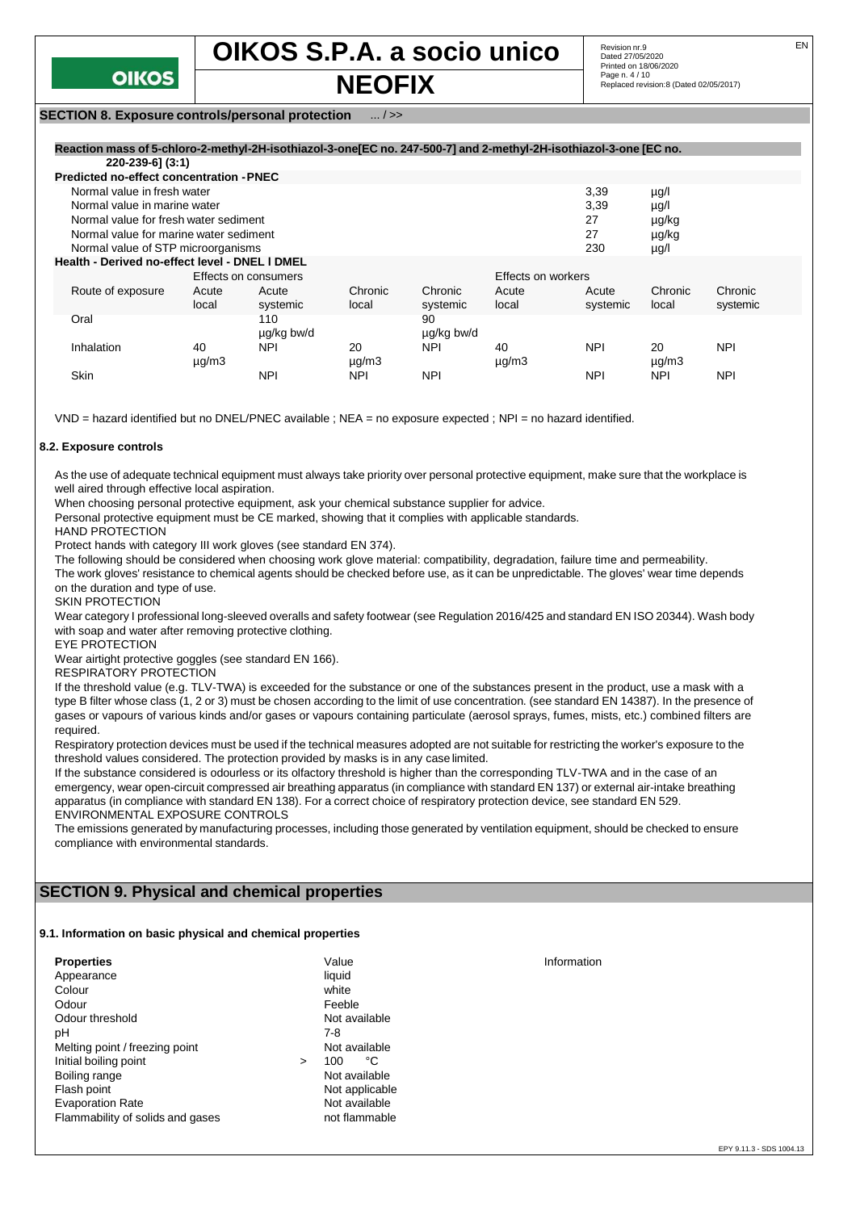

#### **SECTION 8. Exposure controls/personal protection** ... / >>

| Reaction mass of 5-chloro-2-methyl-2H-isothiazol-3-one [EC no. 247-500-7] and 2-methyl-2H-isothiazol-3-one [EC no. |                                                        |            |               |                    |               |            |               |            |
|--------------------------------------------------------------------------------------------------------------------|--------------------------------------------------------|------------|---------------|--------------------|---------------|------------|---------------|------------|
| 220-239-6] (3:1)                                                                                                   |                                                        |            |               |                    |               |            |               |            |
| <b>Predicted no-effect concentration - PNEC</b>                                                                    |                                                        |            |               |                    |               |            |               |            |
| Normal value in fresh water                                                                                        |                                                        |            |               |                    |               | 3,39       | $\mu$ g/l     |            |
| Normal value in marine water                                                                                       |                                                        |            |               |                    |               | 3,39       | $\mu$ g/l     |            |
| Normal value for fresh water sediment                                                                              |                                                        |            |               |                    |               | 27         | µg/kg         |            |
| Normal value for marine water sediment                                                                             |                                                        |            |               |                    |               | 27         | µg/kg         |            |
|                                                                                                                    | Normal value of STP microorganisms<br>230<br>$\mu$ g/l |            |               |                    |               |            |               |            |
|                                                                                                                    | Health - Derived no-effect level - DNEL I DMEL         |            |               |                    |               |            |               |            |
|                                                                                                                    | Effects on consumers                                   |            |               | Effects on workers |               |            |               |            |
| Route of exposure                                                                                                  | Acute                                                  | Acute      | Chronic       | Chronic            | Acute         | Acute      | Chronic       | Chronic    |
|                                                                                                                    | local                                                  | systemic   | local         | systemic           | local         | systemic   | local         | systemic   |
| Oral                                                                                                               |                                                        | 110        |               | 90                 |               |            |               |            |
|                                                                                                                    |                                                        | ug/kg bw/d |               | ug/kg bw/d         |               |            |               |            |
| Inhalation                                                                                                         | 40                                                     | <b>NPI</b> | 20            | <b>NPI</b>         | 40            | <b>NPI</b> | 20            | <b>NPI</b> |
|                                                                                                                    | $\mu$ g/m $3$                                          |            | $\mu$ g/m $3$ |                    | $\mu$ g/m $3$ |            | $\mu$ g/m $3$ |            |
| Skin                                                                                                               |                                                        | <b>NPI</b> | <b>NPI</b>    | <b>NPI</b>         |               | <b>NPI</b> | <b>NPI</b>    | <b>NPI</b> |

VND = hazard identified but no DNEL/PNEC available ; NEA = no exposure expected ; NPI = no hazard identified.

#### **8.2. Exposure controls**

As the use of adequate technical equipment must always take priority over personal protective equipment, make sure that the workplace is well aired through effective local aspiration.

When choosing personal protective equipment, ask your chemical substance supplier for advice.

Personal protective equipment must be CE marked, showing that it complies with applicable standards.

HAND PROTECTION

Protect hands with category III work gloves (see standard EN 374).

The following should be considered when choosing work glove material: compatibility, degradation, failure time and permeability.

The work gloves' resistance to chemical agents should be checked before use, as it can be unpredictable. The gloves' wear time depends on the duration and type of use.

SKIN PROTECTION

Wear category I professional long-sleeved overalls and safety footwear (see Regulation 2016/425 and standard EN ISO 20344). Wash body with soap and water after removing protective clothing.

EYE PROTECTION

Wear airtight protective goggles (see standard EN 166).

RESPIRATORY PROTECTION

If the threshold value (e.g. TLV-TWA) is exceeded for the substance or one of the substances present in the product, use a mask with a type B filter whose class (1, 2 or 3) must be chosen according to the limit of use concentration. (see standard EN 14387). In the presence of gases or vapours of various kinds and/or gases or vapours containing particulate (aerosol sprays, fumes, mists, etc.) combined filters are required.

Respiratory protection devices must be used if the technical measures adopted are not suitable for restricting the worker's exposure to the threshold values considered. The protection provided by masks is in any case limited.

If the substance considered is odourless or its olfactory threshold is higher than the corresponding TLV-TWA and in the case of an emergency, wear open-circuit compressed air breathing apparatus (in compliance with standard EN 137) or external air-intake breathing apparatus (in compliance with standard EN 138). For a correct choice of respiratory protection device, see standard EN 529. ENVIRONMENTAL EXPOSURE CONTROLS

The emissions generated by manufacturing processes, including those generated by ventilation equipment, should be checked to ensure compliance with environmental standards.

#### **SECTION 9. Physical and chemical properties**

#### **9.1. Information on basic physical and chemical properties**

| <b>Properties</b>                |        | Value          | Information |
|----------------------------------|--------|----------------|-------------|
| Appearance                       |        | liquid         |             |
| Colour                           |        | white          |             |
| Odour                            |        | Feeble         |             |
| Odour threshold                  |        | Not available  |             |
| рH                               |        | 7-8            |             |
| Melting point / freezing point   |        | Not available  |             |
| Initial boiling point            | $\geq$ | °C<br>100      |             |
| Boiling range                    |        | Not available  |             |
| Flash point                      |        | Not applicable |             |
| <b>Evaporation Rate</b>          |        | Not available  |             |
| Flammability of solids and gases |        | not flammable  |             |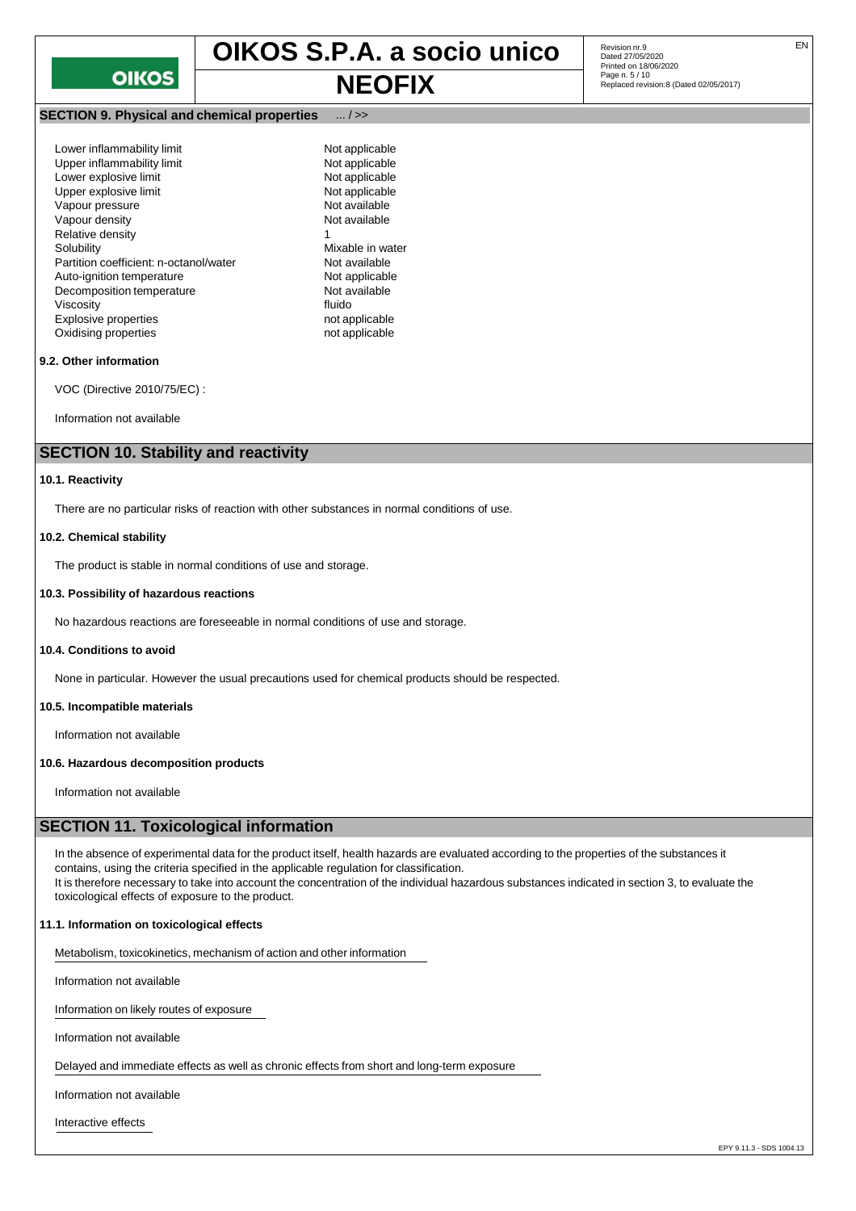## **NEOFIX** Page n. 5/10<br>Replaced revision:8 (Dated 02/05/2017)

#### **SECTION 9. Physical and chemical properties** ... / >>

| Lower inflammability limit             | Not a  |
|----------------------------------------|--------|
| Upper inflammability limit             | Not a  |
| Lower explosive limit                  | Not a  |
| Upper explosive limit                  | Not a  |
| Vapour pressure                        | Not a  |
| Vapour density                         | Not a  |
| Relative density                       | 1      |
| Solubility                             | Mixat  |
| Partition coefficient: n-octanol/water | Not a  |
| Auto-ignition temperature              | Not a  |
| Decomposition temperature              | Not a  |
| Viscositv                              | fluido |
| <b>Explosive properties</b>            | not ap |
| Oxidising properties                   | not ap |
|                                        |        |

Not applicable Not applicable Not applicable Not applicable Not available Not available Mixable in water Not available Not applicable Not available<br>fluido not applicable not applicable

#### **9.2. Other information**

VOC (Directive 2010/75/EC) :

Information not available

#### **SECTION 10. Stability and reactivity**

#### **10.1. Reactivity**

There are no particular risks of reaction with other substances in normal conditions of use.

#### **10.2. Chemical stability**

The product is stable in normal conditions of use and storage.

#### **10.3. Possibility of hazardous reactions**

No hazardous reactions are foreseeable in normal conditions of use and storage.

#### **10.4. Conditions to avoid**

None in particular. However the usual precautions used for chemical products should be respected.

#### **10.5. Incompatible materials**

Information not available

#### **10.6. Hazardous decomposition products**

Information not available

#### **SECTION 11. Toxicological information**

In the absence of experimental data for the product itself, health hazards are evaluated according to the properties of the substances it contains, using the criteria specified in the applicable regulation for classification. It is therefore necessary to take into account the concentration of the individual hazardous substances indicated in section 3, to evaluate the toxicological effects of exposure to the product.

#### **11.1. Information on toxicological effects**

Metabolism, toxicokinetics, mechanism of action and other information

Information not available

Information on likely routes of exposure

Information not available

Delayed and immediate effects as well as chronic effects from short and long-term exposure

Information not available

Interactive effects

Revision nr.9<br>Dated 27/05/2020 Printed on 18/06/2020<br>Page n. 5 / 10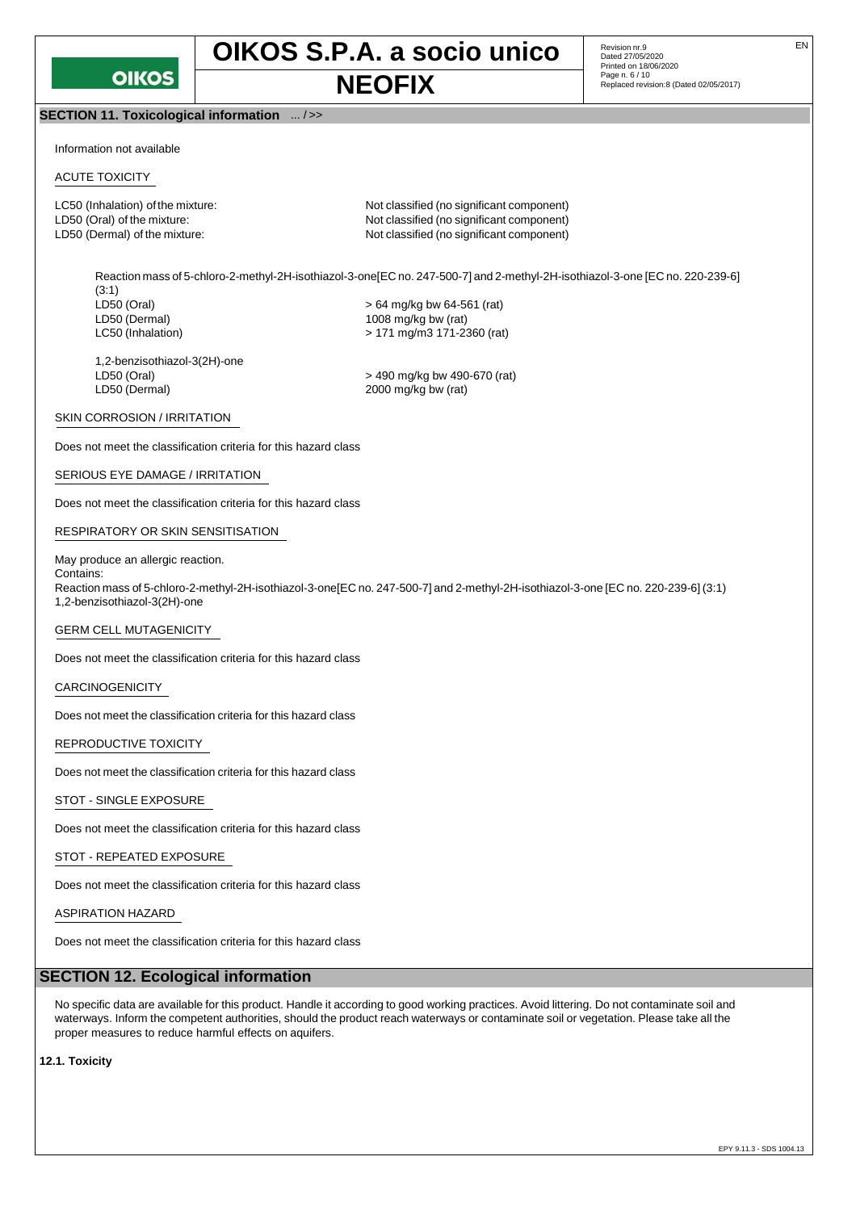

**SECTION 11. Toxicological information** ... / >>

Revision nr.9<br>Dated 27/05/2020 Printed on 18/06/2020<br>Page n. 6 / 10 **NEOFIX** Page n. 6/10<br>Replaced revision:8 (Dated 02/05/2017)

Information not available

#### ACUTE TOXICITY

LC50 (Inhalation) of the mixture: Not classified (no significant component) LD50 (Oral) of the mixture:  $\blacksquare$  Not classified (no significant component) LD50 (Dermal) of the mixture:  $\blacksquare$  Not classified (no significant component)

Reaction mass of 5-chloro-2-methyl-2H-isothiazol-3-one[EC no. 247-500-7] and 2-methyl-2H-isothiazol-3-one [EC no. 220-239-6] (3:1)<br>LD50 (Oral)  $>64$  mg/kg bw 64-561 (rat) LD50 (Dermal) 1008 mg/kg bw (rat) LC50 (Inhalation) > 171 mg/m3 171-2360 (rat)

1,2-benzisothiazol-3(2H)-one

LD50 (Oral) > 490 mg/kg bw 490-670 (rat)  $2000$  mg/kg bw (rat)

#### SKIN CORROSION / IRRITATION

Does not meet the classification criteria for this hazard class

#### SERIOUS EYE DAMAGE / IRRITATION

Does not meet the classification criteria for this hazard class

#### RESPIRATORY OR SKIN SENSITISATION

#### May produce an allergic reaction.

Contains: Reaction mass of 5-chloro-2-methyl-2H-isothiazol-3-one[EC no. 247-500-7] and 2-methyl-2H-isothiazol-3-one [EC no. 220-239-6] (3:1) 1,2-benzisothiazol-3(2H)-one

#### GERM CELL MUTAGENICITY

Does not meet the classification criteria for this hazard class

#### CARCINOGENICITY

Does not meet the classification criteria for this hazard class

#### REPRODUCTIVE TOXICITY

Does not meet the classification criteria for this hazard class

#### STOT - SINGLE EXPOSURE

Does not meet the classification criteria for this hazard class

#### STOT - REPEATED EXPOSURE

Does not meet the classification criteria for this hazard class

#### ASPIRATION HAZARD

Does not meet the classification criteria for this hazard class

#### **SECTION 12. Ecological information**

No specific data are available for this product. Handle it according to good working practices. Avoid littering. Do not contaminate soil and waterways. Inform the competent authorities, should the product reach waterways or contaminate soil or vegetation. Please take all the proper measures to reduce harmful effects on aquifers.

**12.1. Toxicity**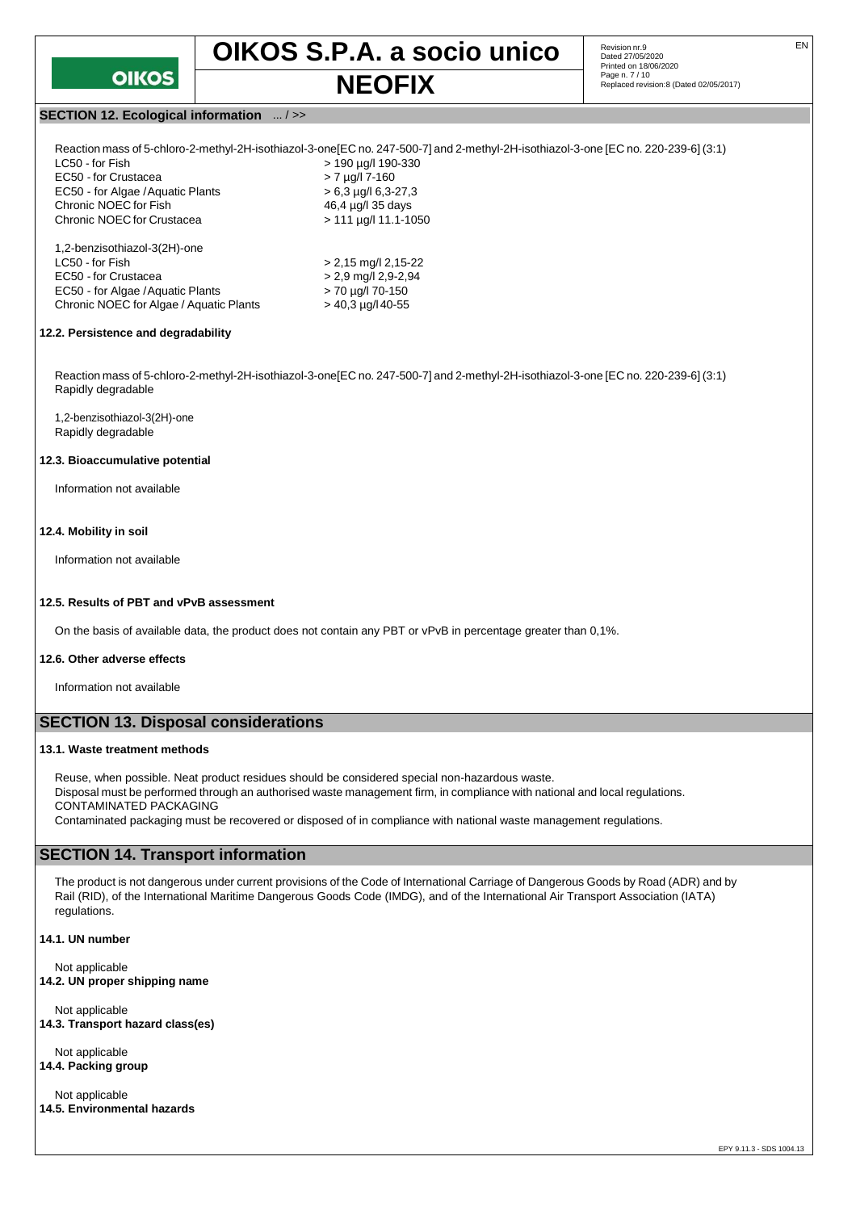

Revision nr.9<br>Dated 27/05/2020 Printed on 18/06/2020<br>Page n. 7 / 10 **NEOFIX** Page n. 7/10 **Page n. 7/10 Replaced revision:8 (Dated 02/05/2017)** 

#### **SECTION 12. Ecological information** ... / >>

| Reaction mass of 5-chloro-2-methyl-2H-isothiazol-3-one[EC no. 247-500-7] and 2-methyl-2H-isothiazol-3-one [EC no. 220-239-6] (3:1) |
|------------------------------------------------------------------------------------------------------------------------------------|
| > 190 µg/l 190-330                                                                                                                 |
| $> 7 \mu g/l$ 7-160                                                                                                                |
| $> 6.3$ µg/l 6.3-27.3                                                                                                              |
| 46.4 µg/l 35 days                                                                                                                  |
| $> 111 \mu q/l 11.1 - 1050$                                                                                                        |
|                                                                                                                                    |
| $> 2,15$ mg/l 2,15-22                                                                                                              |
| $> 2.9$ mg/l 2.9-2.94                                                                                                              |
| > 70 µg/l 70-150                                                                                                                   |
| $>$ 40.3 µg/l 40-55                                                                                                                |
|                                                                                                                                    |

#### **12.2. Persistence and degradability**

Reaction mass of 5-chloro-2-methyl-2H-isothiazol-3-one[EC no. 247-500-7] and 2-methyl-2H-isothiazol-3-one [EC no. 220-239-6] (3:1) Rapidly degradable

1,2-benzisothiazol-3(2H)-one Rapidly degradable

#### **12.3. Bioaccumulative potential**

Information not available

#### **12.4. Mobility in soil**

Information not available

#### **12.5. Results of PBT and vPvB assessment**

On the basis of available data, the product does not contain any PBT or vPvB in percentage greater than 0,1%.

#### **12.6. Other adverse effects**

Information not available

#### **SECTION 13. Disposal considerations**

#### **13.1. Waste treatment methods**

Reuse, when possible. Neat product residues should be considered special non-hazardous waste. Disposal must be performed through an authorised waste management firm, in compliance with national and local regulations. CONTAMINATED PACKAGING Contaminated packaging must be recovered or disposed of in compliance with national waste management regulations.

#### **SECTION 14. Transport information**

The product is not dangerous under current provisions of the Code of International Carriage of Dangerous Goods by Road (ADR) and by Rail (RID), of the International Maritime Dangerous Goods Code (IMDG), and of the International Air Transport Association (IATA) regulations.

**14.1. UN number**

Not applicable **14.2. UN proper shipping name**

Not applicable **14.3. Transport hazard class(es)**

Not applicable **14.4. Packing group**

Not applicable **14.5. Environmental hazards**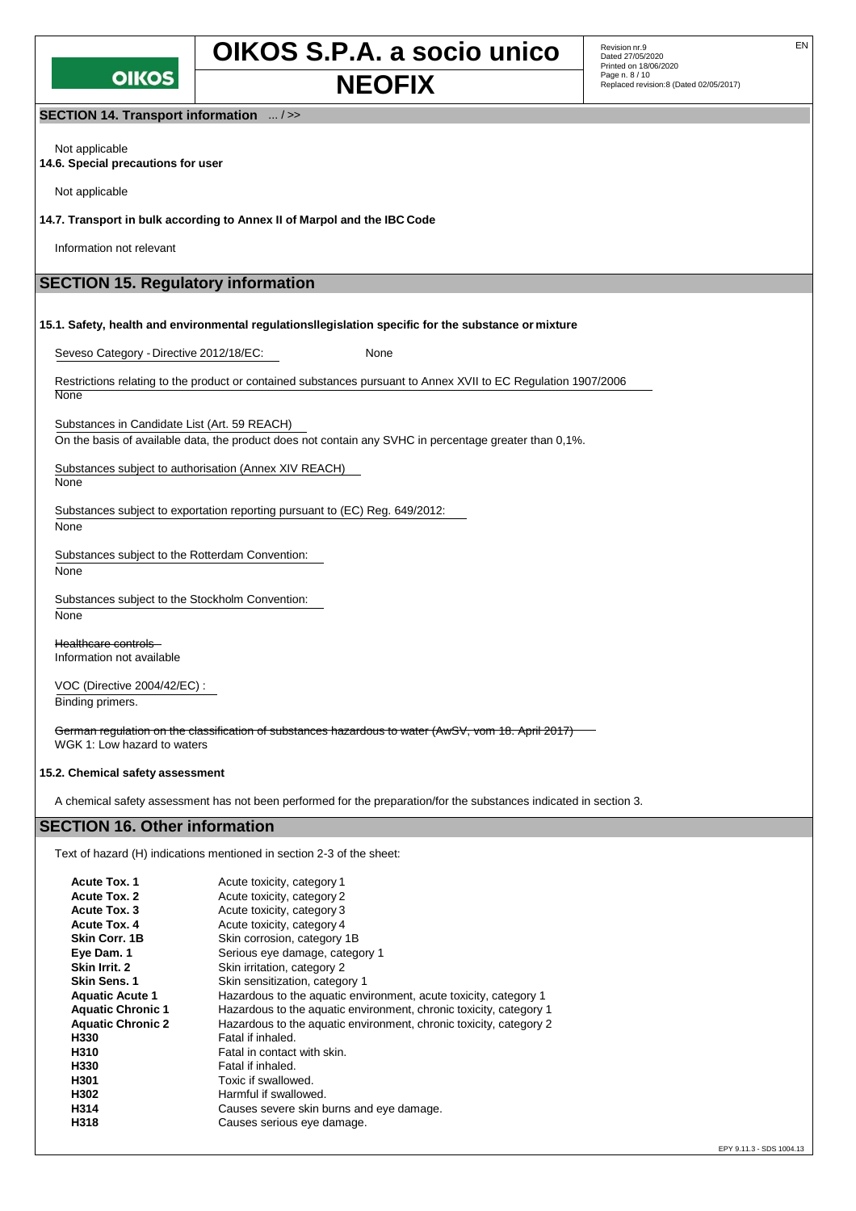

Revision nr.9<br>Dated 27/05/2020 Printed on 18/06/2020<br>Page n. 8 / 10 **NEOFIX** Page n. 8/10 **Neglaced revision:8** (Dated 02/05/2017)

**SECTION 14. Transport information** ... / >>

Not applicable **14.6. Special precautions for user**

Not applicable

**14.7. Transport in bulk according to Annex II of Marpol and the IBC Code**

Information not relevant

### **SECTION 15. Regulatory information**

**15.1. Safety, health and environmental regulationsllegislation specific for the substance or mixture**

Seveso Category - Directive 2012/18/EC: None

Restrictions relating to the product or contained substances pursuant to Annex XVII to EC Regulation 1907/2006 **None** 

Substances in Candidate List (Art. 59 REACH)

On the basis of available data, the product does not contain any SVHC in percentage greater than 0,1%.

Substances subject to authorisation (Annex XIV REACH)

None

Substances subject to exportation reporting pursuant to (EC) Reg. 649/2012:

None

Substances subject to the Rotterdam Convention:

None

Substances subject to the Stockholm Convention:

None

Healthcare controls Information not available

VOC (Directive 2004/42/EC) : Binding primers.

German regulation on the classification of substances hazardous to water (AwSV, vom 18. April 2017) WGK 1: Low hazard to waters

#### **15.2. Chemical safety assessment**

A chemical safety assessment has not been performed for the preparation/for the substances indicated in section 3.

#### **SECTION 16. Other information**

Text of hazard (H) indications mentioned in section 2-3 of the sheet:

| <b>Acute Tox. 1</b>      | Acute toxicity, category 1                                         |
|--------------------------|--------------------------------------------------------------------|
| <b>Acute Tox. 2</b>      | Acute toxicity, category 2                                         |
| Acute Tox. 3             | Acute toxicity, category 3                                         |
| <b>Acute Tox. 4</b>      | Acute toxicity, category 4                                         |
| Skin Corr. 1B            | Skin corrosion, category 1B                                        |
| Eye Dam. 1               | Serious eye damage, category 1                                     |
| Skin Irrit. 2            | Skin irritation, category 2                                        |
| <b>Skin Sens. 1</b>      | Skin sensitization, category 1                                     |
| <b>Aquatic Acute 1</b>   | Hazardous to the aquatic environment, acute toxicity, category 1   |
| <b>Aquatic Chronic 1</b> | Hazardous to the aquatic environment, chronic toxicity, category 1 |
| <b>Aquatic Chronic 2</b> | Hazardous to the aquatic environment, chronic toxicity, category 2 |
| H330                     | Fatal if inhaled.                                                  |
| H310                     | Fatal in contact with skin.                                        |
| H330                     | Fatal if inhaled.                                                  |
| H301                     | Toxic if swallowed.                                                |
| H302                     | Harmful if swallowed.                                              |
| H314                     | Causes severe skin burns and eye damage.                           |
| H318                     | Causes serious eye damage.                                         |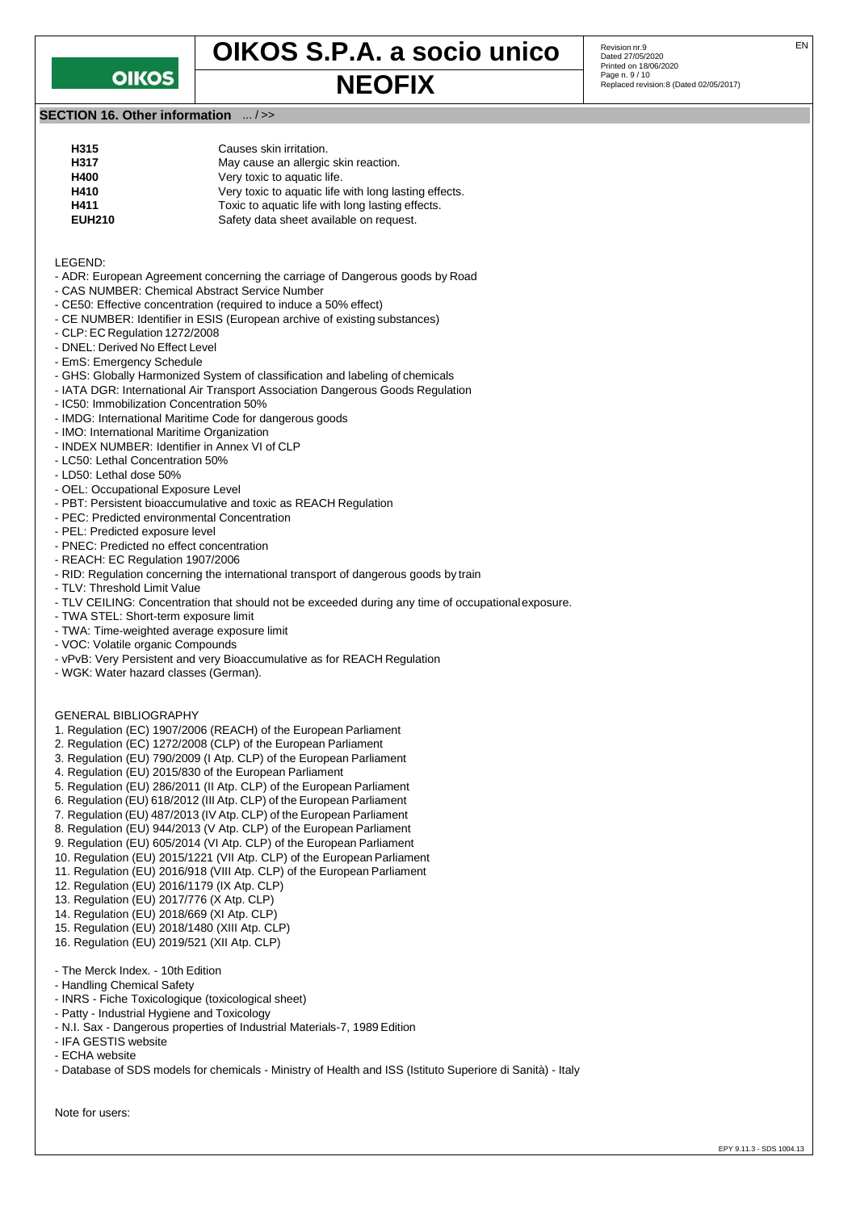## **OIKOS**

# **OIKOS S.P.A. a socio unico** Revision nr.9

Revision nr.9<br>Dated 27/05/2020 Printed on 18/06/2020<br>Page n. 9 / 10 **NEOFIX** Page n. 9/10 **Replaced revision:8 (Dated 02/05/2017)** 

#### **SECTION 16. Other information** ... / >>

| H315          | Causes skin irritation.                               |
|---------------|-------------------------------------------------------|
| H317          | May cause an allergic skin reaction.                  |
| H400          | Very toxic to aquatic life.                           |
| H410          | Very toxic to aquatic life with long lasting effects. |
| H411          | Toxic to aquatic life with long lasting effects.      |
| <b>EUH210</b> | Safety data sheet available on request.               |
|               |                                                       |

LEGEND:

- ADR: European Agreement concerning the carriage of Dangerous goods by Road
- CAS NUMBER: Chemical Abstract Service Number
- CE50: Effective concentration (required to induce a 50% effect)
- CE NUMBER: Identifier in ESIS (European archive of existing substances)
- CLP: EC Regulation 1272/2008
- DNEL: Derived No Effect Level
- EmS: Emergency Schedule
- GHS: Globally Harmonized System of classification and labeling of chemicals
- IATA DGR: International Air Transport Association Dangerous Goods Regulation
- IC50: Immobilization Concentration 50%
- IMDG: International Maritime Code for dangerous goods
- IMO: International Maritime Organization
- INDEX NUMBER: Identifier in Annex VI of CLP
- LC50: Lethal Concentration 50%
- LD50: Lethal dose 50%
- OEL: Occupational Exposure Level
- PBT: Persistent bioaccumulative and toxic as REACH Regulation
- PEC: Predicted environmental Concentration
- PEL: Predicted exposure level
- PNEC: Predicted no effect concentration
- REACH: EC Regulation 1907/2006
- RID: Regulation concerning the international transport of dangerous goods by train
- TLV: Threshold Limit Value
- TLV CEILING: Concentration that should not be exceeded during any time of occupationalexposure.
- TWA STEL: Short-term exposure limit
- TWA: Time-weighted average exposure limit
- VOC: Volatile organic Compounds
- vPvB: Very Persistent and very Bioaccumulative as for REACH Regulation
- WGK: Water hazard classes (German).

#### GENERAL BIBLIOGRAPHY

- 1. Regulation (EC) 1907/2006 (REACH) of the European Parliament
- 2. Regulation (EC) 1272/2008 (CLP) of the European Parliament
- 3. Regulation (EU) 790/2009 (I Atp. CLP) of the European Parliament
- 4. Regulation (EU) 2015/830 of the European Parliament
- 5. Regulation (EU) 286/2011 (II Atp. CLP) of the European Parliament
- 6. Regulation (EU) 618/2012 (III Atp. CLP) of the European Parliament
- 7. Regulation (EU) 487/2013 (IV Atp. CLP) of the European Parliament
- 8. Regulation (EU) 944/2013 (V Atp. CLP) of the European Parliament
- 9. Regulation (EU) 605/2014 (VI Atp. CLP) of the European Parliament
- 10. Regulation (EU) 2015/1221 (VII Atp. CLP) of the European Parliament
- 11. Regulation (EU) 2016/918 (VIII Atp. CLP) of the European Parliament
- 12. Regulation (EU) 2016/1179 (IX Atp. CLP)
- 13. Regulation (EU) 2017/776 (X Atp. CLP)
- 14. Regulation (EU) 2018/669 (XI Atp. CLP)
- 15. Regulation (EU) 2018/1480 (XIII Atp. CLP)
- 16. Regulation (EU) 2019/521 (XII Atp. CLP)
- The Merck Index. 10th Edition
- Handling Chemical Safety
- INRS Fiche Toxicologique (toxicological sheet)
- Patty Industrial Hygiene and Toxicology
- N.I. Sax Dangerous properties of Industrial Materials-7, 1989 Edition
- IFA GESTIS website
- ECHA website
- Database of SDS models for chemicals Ministry of Health and ISS (Istituto Superiore di Sanità) Italy

Note for users: